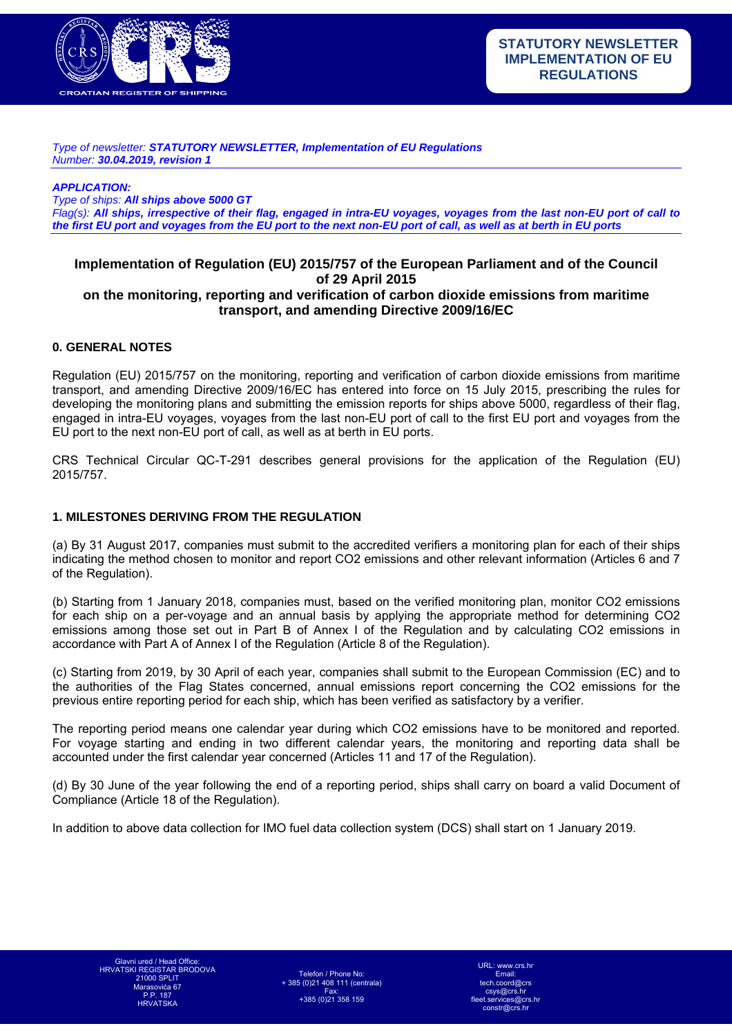

*Type of newsletter: STATUTORY NEWSLETTER, Implementation of EU Regulations Number: 30.04.2019, revision 1* 

*APPLICATION:* 

*Type of ships: All ships above 5000 GT*

*Flag(s): All ships, irrespective of their flag, engaged in intra-EU voyages, voyages from the last non-EU port of call to the first EU port and voyages from the EU port to the next non-EU port of call, as well as at berth in EU ports*

# **Implementation of Regulation (EU) 2015/757 of the European Parliament and of the Council of 29 April 2015**

# **on the monitoring, reporting and verification of carbon dioxide emissions from maritime transport, and amending Directive 2009/16/EC**

## **0. GENERAL NOTES**

Regulation (EU) 2015/757 on the monitoring, reporting and verification of carbon dioxide emissions from maritime transport, and amending Directive 2009/16/EC has entered into force on 15 July 2015, prescribing the rules for developing the monitoring plans and submitting the emission reports for ships above 5000, regardless of their flag, engaged in intra-EU voyages, voyages from the last non-EU port of call to the first EU port and voyages from the EU port to the next non-EU port of call, as well as at berth in EU ports.

CRS Technical Circular QC-T-291 describes general provisions for the application of the Regulation (EU) 2015/757.

#### **1. MILESTONES DERIVING FROM THE REGULATION**

(a) By 31 August 2017, companies must submit to the accredited verifiers a monitoring plan for each of their ships indicating the method chosen to monitor and report CO2 emissions and other relevant information (Articles 6 and 7 of the Regulation).

(b) Starting from 1 January 2018, companies must, based on the verified monitoring plan, monitor CO2 emissions for each ship on a per-voyage and an annual basis by applying the appropriate method for determining CO2 emissions among those set out in Part B of Annex I of the Regulation and by calculating CO2 emissions in accordance with Part A of Annex I of the Regulation (Article 8 of the Regulation).

(c) Starting from 2019, by 30 April of each year, companies shall submit to the European Commission (EC) and to the authorities of the Flag States concerned, annual emissions report concerning the CO2 emissions for the previous entire reporting period for each ship, which has been verified as satisfactory by a verifier.

The reporting period means one calendar year during which CO2 emissions have to be monitored and reported. For voyage starting and ending in two different calendar years, the monitoring and reporting data shall be accounted under the first calendar year concerned (Articles 11 and 17 of the Regulation).

(d) By 30 June of the year following the end of a reporting period, ships shall carry on board a valid Document of Compliance (Article 18 of the Regulation).

In addition to above data collection for IMO fuel data collection system (DCS) shall start on 1 January 2019.

Telefon / Phone No: + 385 (0)21 408 111 (centrala) Fax: +385 (0)21 358 159

URL: www.crs.h Email: tech.coord@crs csys@crs.hr fleet.services@crs.hr constr@crs.hr